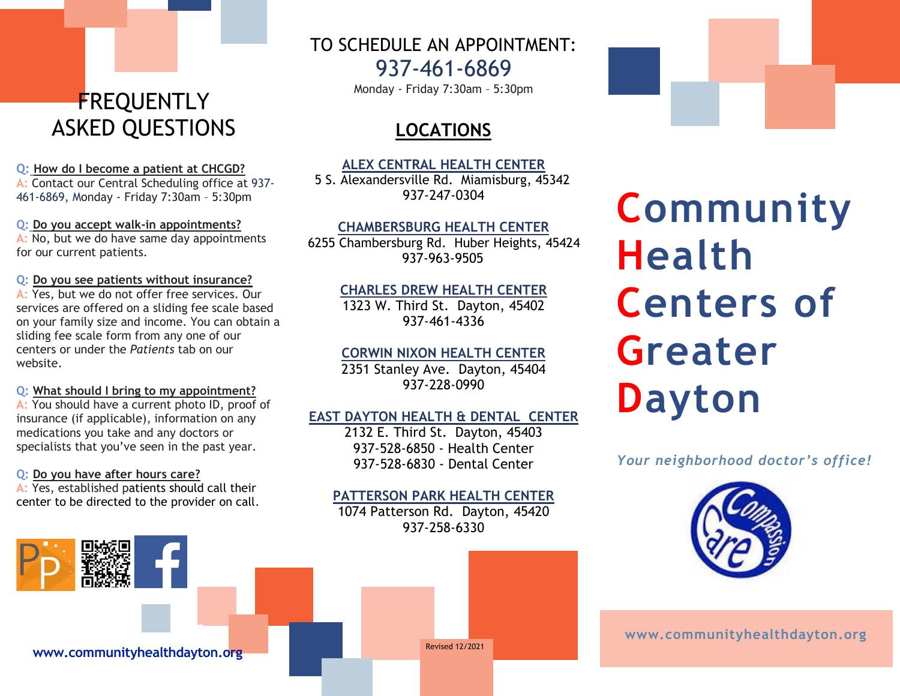# **FREQUENTLY** ASKED QUESTIONS

#### **Q: How do I become a patient at CHCGD?**

**A:** Contact our Central Scheduling office at 937- 461-6869, Monday - Friday 7:30am – 5:30pm

**Q: Do you accept walk-in appointments? A:** No, but we do have same day appointments for our current patients.

**Q: Do you see patients without insurance?**

**A:** Yes, but we do not offer free services. Our services are offered on a sliding fee scale based on your family size and income. You can obtain a sliding fee scale form from any one of our centers or under the *Patients* tab on our website.

#### **Q: What should I bring to my appointment?**

**A:** You should have a current photo ID, proof of insurance (if applicable), information on any medications you take and any doctors or specialists that you've seen in the past year.

#### **Q: Do you have after hours care?**

**A:** Yes, established patients should call their center to be directed to the provider on call. TO SCHEDULE AN APPOINTMENT:

937-461-6869

Monday - Friday 7:30am – 5:30pm

## **LOCATIONS**

#### **ALEX CENTRAL HEALTH CENTER**

5 S. Alexandersville Rd. Miamisburg, 45342 937-247-0304

## **CHAMBERSBURG HEALTH CENTER**

6255 Chambersburg Rd. Huber Heights, 45424 937-963-9505

## **CHARLES DREW HEALTH CENTER**

1323 W. Third St. Dayton, 45402 937-461-4336

## **CORWIN NIXON HEALTH CENTER**

2351 Stanley Ave. Dayton, 45404 937-228-0990

## **EAST DAYTON HEALTH & DENTAL CENTER**

2132 E. Third St. Dayton, 45403 937-528-6850 - Health Center 937-528-6830 - Dental Center

## **PATTERSON PARK HEALTH CENTER**

1074 Patterson Rd. Dayton, 45420 937-258-6330

Revised 12/2021

# **Community Health Centers of Greater**

**Dayton** 

*Your neighborhood doctor's office!* 



**www.communityhealthdayton.org**

**www.communityhealthdayton.org**